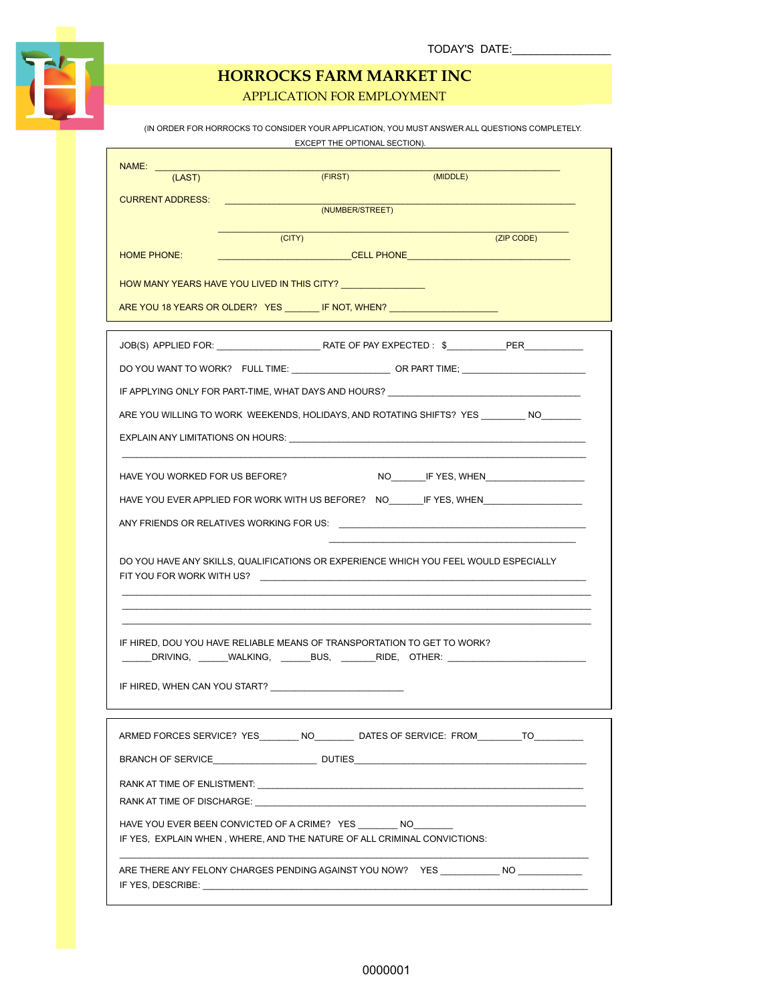

APPLICATION FOR EMPLOYMENT

|                                                                                                                             |        |                 | EXCEPT THE OPTIONAL SECTION). | (IN ORDER FOR HORROCKS TO CONSIDER YOUR APPLICATION, YOU MUST ANSWER ALL QUESTIONS COMPLETELY. |
|-----------------------------------------------------------------------------------------------------------------------------|--------|-----------------|-------------------------------|------------------------------------------------------------------------------------------------|
| NAME: ____                                                                                                                  |        |                 |                               |                                                                                                |
| (LAST)                                                                                                                      |        | (FIRST)         | (MIDDLE)                      |                                                                                                |
| CURRENT ADDRESS: CONTROLL CONTROL CONTROL CONTROLLER                                                                        |        | (NUMBER/STREET) |                               |                                                                                                |
|                                                                                                                             |        |                 |                               |                                                                                                |
|                                                                                                                             | (CITY) |                 |                               | (ZIP CODE)                                                                                     |
| <b>HOME PHONE:</b>                                                                                                          |        |                 |                               |                                                                                                |
| HOW MANY YEARS HAVE YOU LIVED IN THIS CITY?                                                                                 |        |                 |                               |                                                                                                |
| ARE YOU 18 YEARS OR OLDER? YES _________ IF NOT, WHEN? _________________________                                            |        |                 |                               |                                                                                                |
|                                                                                                                             |        |                 |                               |                                                                                                |
|                                                                                                                             |        |                 |                               |                                                                                                |
|                                                                                                                             |        |                 |                               |                                                                                                |
|                                                                                                                             |        |                 |                               | IF APPLYING ONLY FOR PART-TIME, WHAT DAYS AND HOURS? ____________________________              |
|                                                                                                                             |        |                 |                               | ARE YOU WILLING TO WORK WEEKENDS, HOLIDAYS, AND ROTATING SHIFTS? YES ________ NO________       |
| EXPLAIN ANY LIMITATIONS ON HOURS: UNIVERSED AND ACCOUNT AND A RESIDENCE OF A REPORT OF A REPORT OF A REPORT OF              |        |                 |                               |                                                                                                |
|                                                                                                                             |        |                 |                               |                                                                                                |
| HAVE YOU WORKED FOR US BEFORE?                                                                                              |        |                 |                               |                                                                                                |
|                                                                                                                             |        |                 |                               | HAVE YOU EVER APPLIED FOR WORK WITH US BEFORE? NO ________IF YES, WHEN ________________        |
| ANY FRIENDS OR RELATIVES WORKING FOR US: A MOTO THE SERVICE OF A MOTOR OR RELATIVES WORKING.                                |        |                 |                               |                                                                                                |
| DO YOU HAVE ANY SKILLS, QUALIFICATIONS OR EXPERIENCE WHICH YOU FEEL WOULD ESPECIALLY                                        |        |                 |                               |                                                                                                |
| IF HIRED, DOU YOU HAVE RELIABLE MEANS OF TRANSPORTATION TO GET TO WORK?<br>IF HIRED, WHEN CAN YOU START?                    |        |                 |                               | ______DRIVING, ______WALKING, _______BUS, ________RIDE, OTHER: __________________              |
|                                                                                                                             |        |                 |                               | ARMED FORCES SERVICE? YES________ NO_________ DATES OF SERVICE: FROM_________TO_________       |
|                                                                                                                             |        |                 |                               |                                                                                                |
| RANK AT TIME OF DISCHARGE: WAS ARRESTED FOR A SAFE OF DISCHARGE.                                                            |        |                 |                               |                                                                                                |
| HAVE YOU EVER BEEN CONVICTED OF A CRIME? YES NO<br>IF YES, EXPLAIN WHEN, WHERE, AND THE NATURE OF ALL CRIMINAL CONVICTIONS: |        |                 |                               |                                                                                                |
| ARE THERE ANY FELONY CHARGES PENDING AGAINST YOU NOW?  YES NO NO                                                            |        |                 |                               |                                                                                                |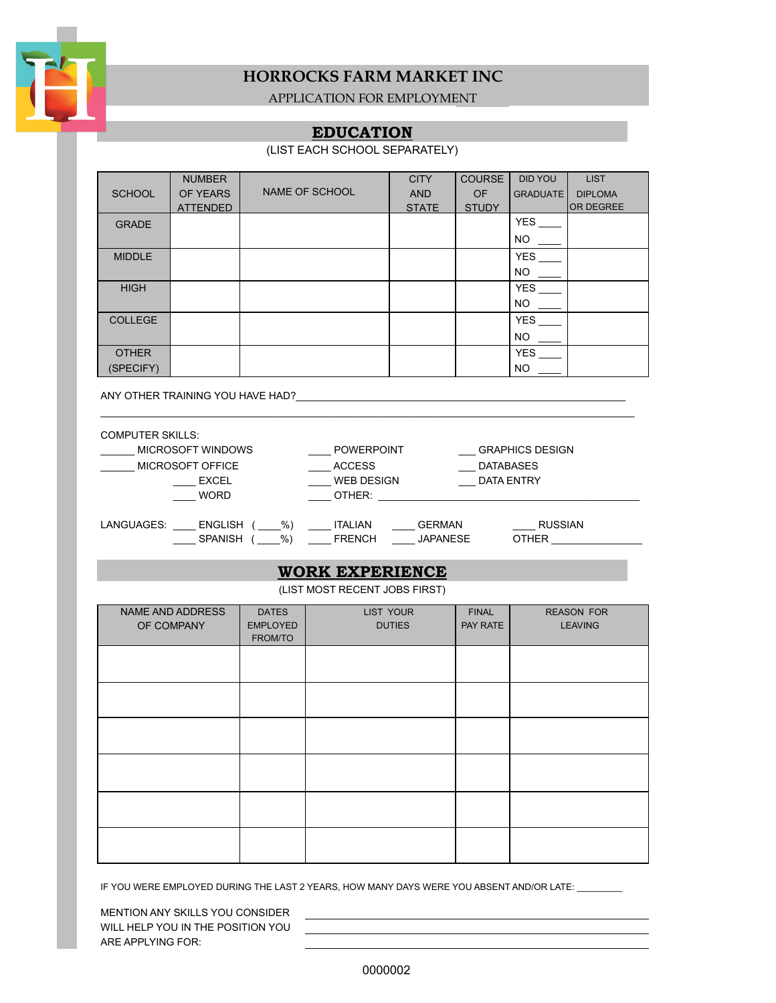

APPLICATION FOR EMPLOYMENT

#### **EDUCATION**

(LIST EACH SCHOOL SEPARATELY)

|                | <b>NUMBER</b>   |                | <b>CITY</b>  | <b>COURSE</b> | <b>DID YOU</b>  | <b>LIST</b>      |
|----------------|-----------------|----------------|--------------|---------------|-----------------|------------------|
| <b>SCHOOL</b>  | OF YEARS        | NAME OF SCHOOL | <b>AND</b>   | <b>OF</b>     | <b>GRADUATE</b> | <b>DIPLOMA</b>   |
|                | <b>ATTENDED</b> |                | <b>STATE</b> | <b>STUDY</b>  |                 | <b>OR DEGREE</b> |
| <b>GRADE</b>   |                 |                |              |               | <b>YES</b>      |                  |
|                |                 |                |              |               | <b>NO</b>       |                  |
| <b>MIDDLE</b>  |                 |                |              |               | <b>YES</b>      |                  |
|                |                 |                |              |               | <b>NO</b>       |                  |
| <b>HIGH</b>    |                 |                |              |               | <b>YES</b>      |                  |
|                |                 |                |              |               | <b>NO</b>       |                  |
| <b>COLLEGE</b> |                 |                |              |               | <b>YES</b>      |                  |
|                |                 |                |              |               | <b>NO</b>       |                  |
| <b>OTHER</b>   |                 |                |              |               | <b>YES</b>      |                  |
| (SPECIFY)      |                 |                |              |               | <b>NO</b>       |                  |

ANY OTHER TRAINING YOU HAVE HAD?\_\_\_\_\_\_\_\_\_\_\_\_\_\_\_\_\_\_\_\_\_\_\_\_\_\_\_\_\_\_\_\_\_\_\_\_\_\_\_\_\_\_\_\_\_\_\_\_\_\_\_\_\_\_\_\_\_\_

| <b>COMPUTER SKILLS:</b>            |                   |                                 |  |
|------------------------------------|-------------------|---------------------------------|--|
| <b>MICROSOFT WINDOWS</b>           | POWERPOINT        | <b>GRAPHICS DESIGN</b>          |  |
| MICROSOFT OFFICE                   | <b>ACCESS</b>     | <b>DATABASES</b>                |  |
| <b>EXCEL</b>                       | <b>WEB DESIGN</b> | <b>DATA ENTRY</b>               |  |
| <b>WORD</b>                        | OTHER:            |                                 |  |
|                                    |                   |                                 |  |
| %)<br>LANGUAGES:<br><b>ENGLISH</b> | ITALIAN           | <b>RUSSIAN</b><br><b>GERMAN</b> |  |
| %)<br><b>SPANISH</b>               | <b>FRENCH</b>     | <b>JAPANESE</b><br><b>OTHER</b> |  |

\_\_\_\_\_\_\_\_\_\_\_\_\_\_\_\_\_\_\_\_\_\_\_\_\_\_\_\_\_\_\_\_\_\_\_\_\_\_\_\_\_\_\_\_\_\_\_\_\_\_\_\_\_\_\_\_\_\_\_\_\_\_\_\_\_\_\_\_\_\_\_\_\_\_\_\_\_\_\_\_\_\_\_\_\_\_\_\_\_\_\_\_\_\_

#### **WORK EXPERIENCE**

(LIST MOST RECENT JOBS FIRST)

| NAME AND ADDRESS | <b>DATES</b>    | LIST YOUR     | <b>FINAL</b> | <b>REASON FOR</b> |
|------------------|-----------------|---------------|--------------|-------------------|
| OF COMPANY       | <b>EMPLOYED</b> | <b>DUTIES</b> | PAY RATE     | <b>LEAVING</b>    |
|                  | FROM/TO         |               |              |                   |
|                  |                 |               |              |                   |
|                  |                 |               |              |                   |
|                  |                 |               |              |                   |
|                  |                 |               |              |                   |
|                  |                 |               |              |                   |
|                  |                 |               |              |                   |
|                  |                 |               |              |                   |
|                  |                 |               |              |                   |
|                  |                 |               |              |                   |
|                  |                 |               |              |                   |
|                  |                 |               |              |                   |
|                  |                 |               |              |                   |
|                  |                 |               |              |                   |
|                  |                 |               |              |                   |
|                  |                 |               |              |                   |
|                  |                 |               |              |                   |
|                  |                 |               |              |                   |
|                  |                 |               |              |                   |
|                  |                 |               |              |                   |

IF YOU WERE EMPLOYED DURING THE LAST 2 YEARS, HOW MANY DAYS WERE YOU ABSENT AND/OR LATE: \_\_\_\_\_\_\_\_

MENTION ANY SKILLS YOU CONSIDER WILL HELP YOU IN THE POSITION YOU ARE APPLYING FOR: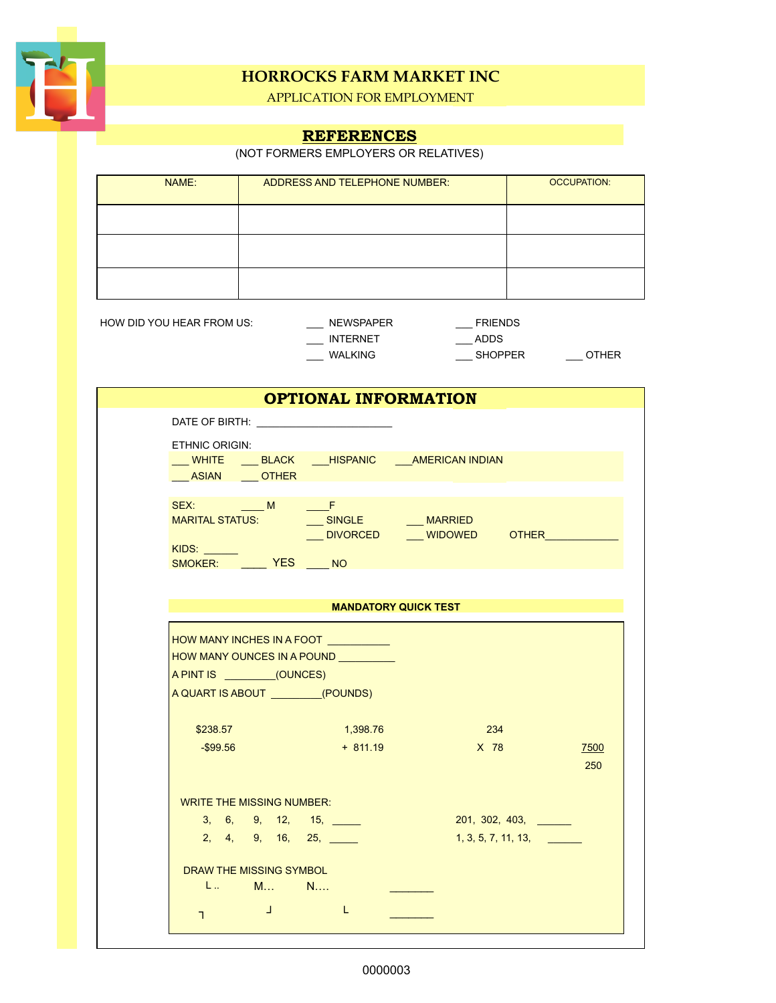

APPLICATION FOR EMPLOYMENT

# **REFERENCES**

(NOT FORMERS EMPLOYERS OR RELATIVES)

| NAME: | ADDRESS AND TELEPHONE NUMBER: | <b>OCCUPATION:</b> |
|-------|-------------------------------|--------------------|
|       |                               |                    |
|       |                               |                    |
|       |                               |                    |
|       |                               |                    |

HOW DID YOU HEAR FROM US: \_\_\_\_\_\_\_\_ NEWSPAPER \_\_\_\_\_\_\_\_\_ FRIENDS

| <b>NEWSPAPER</b> |
|------------------|
| <b>INTERNET</b>  |
| WALKING          |

 $\rule{1em}{0.15mm} \begin{array}{ll} \text{ADDS} \end{array}$ \_\_\_ WALKING \_\_\_ SHOPPER \_\_\_ OTHER

|                                                                                                                      | <b>OPTIONAL INFORMATION</b> |                                            |                     |  |
|----------------------------------------------------------------------------------------------------------------------|-----------------------------|--------------------------------------------|---------------------|--|
|                                                                                                                      |                             |                                            |                     |  |
| <b>ETHNIC ORIGIN:</b><br>WHITE BLACK ___ HISPANIC ___ AMERICAN INDIAN<br>ASIAN OTHER                                 |                             |                                            |                     |  |
| KIDS: Andrew March 1997<br>SMOKER: YES NO                                                                            |                             | ____DIVORCED _____WIDOWED OTHER __________ |                     |  |
|                                                                                                                      |                             | <b>MANDATORY QUICK TEST</b>                |                     |  |
|                                                                                                                      |                             |                                            |                     |  |
| HOW MANY INCHES IN A FOOT<br>HOW MANY OUNCES IN A POUND<br>A PINT IS (OUNCES)<br>A QUART IS ABOUT __________(POUNDS) |                             |                                            |                     |  |
| \$238.57                                                                                                             | 1,398.76                    | 234                                        |                     |  |
| -\$99.56                                                                                                             | $+811.19$                   | $X$ 78                                     | 7500<br>250         |  |
| <b>WRITE THE MISSING NUMBER:</b>                                                                                     |                             |                                            |                     |  |
| 3, 6, 9, 12, 15,                                                                                                     |                             |                                            | 201, 302, 403,      |  |
| 2, 4, 9, 16, 25,                                                                                                     |                             |                                            | 1, 3, 5, 7, 11, 13, |  |
| DRAW THE MISSING SYMBOL<br>L M N                                                                                     |                             |                                            |                     |  |